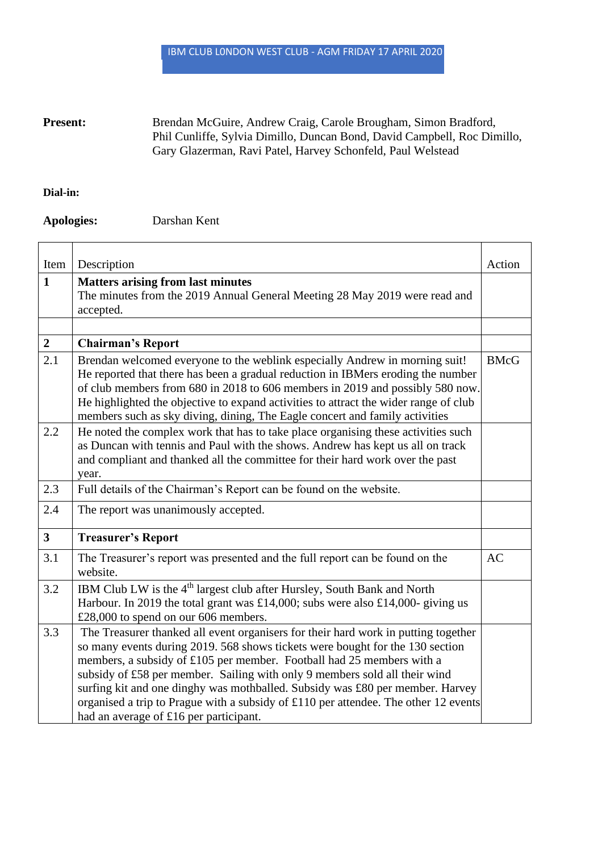IBM CLUB L0NDON WEST CLUB - AGM FRIDAY 17 APRIL 2020

## Present: Brendan McGuire, Andrew Craig, Carole Brougham, Simon Bradford, Phil Cunliffe, Sylvia Dimillo, Duncan Bond, David Campbell, Roc Dimillo, Gary Glazerman, Ravi Patel, Harvey Schonfeld, Paul Welstead

## **Dial-in:**

## **Apologies:** Darshan Kent

| Item                    | Description                                                                          | Action      |
|-------------------------|--------------------------------------------------------------------------------------|-------------|
| $\mathbf{1}$            | <b>Matters arising from last minutes</b>                                             |             |
|                         | The minutes from the 2019 Annual General Meeting 28 May 2019 were read and           |             |
|                         | accepted.                                                                            |             |
|                         |                                                                                      |             |
| $\boldsymbol{2}$        | <b>Chairman's Report</b>                                                             |             |
| 2.1                     | Brendan welcomed everyone to the weblink especially Andrew in morning suit!          | <b>BMcG</b> |
|                         | He reported that there has been a gradual reduction in IBMers eroding the number     |             |
|                         | of club members from 680 in 2018 to 606 members in 2019 and possibly 580 now.        |             |
|                         | He highlighted the objective to expand activities to attract the wider range of club |             |
|                         | members such as sky diving, dining, The Eagle concert and family activities          |             |
| 2.2                     | He noted the complex work that has to take place organising these activities such    |             |
|                         | as Duncan with tennis and Paul with the shows. Andrew has kept us all on track       |             |
|                         | and compliant and thanked all the committee for their hard work over the past        |             |
|                         | year.                                                                                |             |
| 2.3                     | Full details of the Chairman's Report can be found on the website.                   |             |
| 2.4                     | The report was unanimously accepted.                                                 |             |
| $\overline{\mathbf{3}}$ | <b>Treasurer's Report</b>                                                            |             |
| 3.1                     | The Treasurer's report was presented and the full report can be found on the         | <b>AC</b>   |
|                         | website.                                                                             |             |
| 3.2                     | IBM Club LW is the 4 <sup>th</sup> largest club after Hursley, South Bank and North  |             |
|                         | Harbour. In 2019 the total grant was £14,000; subs were also £14,000- giving us      |             |
|                         | £28,000 to spend on our 606 members.                                                 |             |
| 3.3                     | The Treasurer thanked all event organisers for their hard work in putting together   |             |
|                         | so many events during 2019. 568 shows tickets were bought for the 130 section        |             |
|                         | members, a subsidy of £105 per member. Football had 25 members with a                |             |
|                         | subsidy of £58 per member. Sailing with only 9 members sold all their wind           |             |
|                         | surfing kit and one dinghy was mothballed. Subsidy was £80 per member. Harvey        |             |
|                         | organised a trip to Prague with a subsidy of £110 per attendee. The other 12 events  |             |
|                         | had an average of £16 per participant.                                               |             |